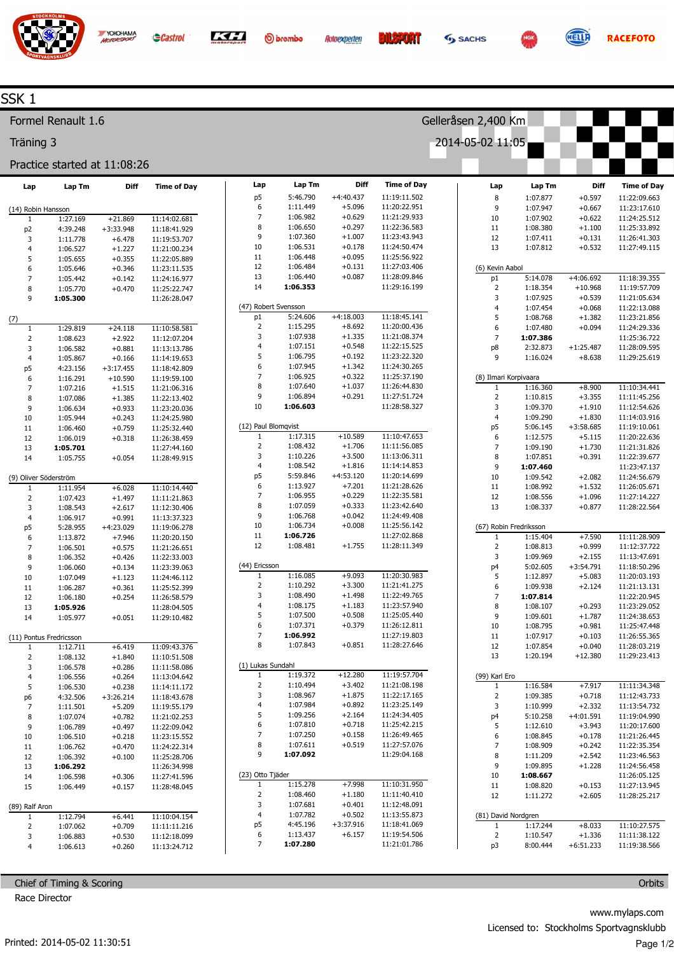

**O**brembo

Lap Tm 5:46.790 1:11.449 1:06.982 1:06.650 1:07.360 1:06.531 1:06.448 1:06.484 1:06.440 1:06.353

5:24.606 1:15.295 1:07.938 1:07.151 1:06.795 1:07.945 1:06.925 1:07.640 1:06.894 1:06.603

1:17.315 1:08.432 1:10.226 1:08.542 5:59.846 1:13.927 1:06.955 1:07.059 1:06.768 1:06.734 1:06.726 1:08.481

1:16.085 1:10.292 1:08.490 1:08.175 1:07.500 1:07.371 1:06.992 1:07.843

1:19.372 1:10.494 1:08.967 1:07.984 1:09.256 1:07.810 1:07.250 1:07.611 1:07.092

1:15.278 1:08.460 1:07.681 1:07.782 4:45.196 1:13.437 1:07.280



Diff +4:40.437 +5.096 +0.629 +0.297 +1.007 +0.178 +0.095 +0.131 +0.087

Time of Day 11:19:11.502 11:20:22.951 11:21:29.933 11:22:36.583 11:23:43.943 11:24:50.474 11:25:56.922 11:27:03.406 11:28:09.846 11:29:16.199

11:18:45.141 11:20:00.436 11:21:08.374 11:22:15.525 11:23:22.320 11:24:30.265 11:25:37.190 11:26:44.830 11:27:51.724 11:28:58.327

11:10:47.653 11:11:56.085 11:13:06.311 11:14:14.853 11:20:14.699 11:21:28.626 11:22:35.581 11:23:42.640 11:24:49.408 11:25:56.142 11:27:02.868 11:28:11.349

11:20:30.983 11:21:41.275 11:22:49.765 11:23:57.940 11:25:05.440 11:26:12.811 11:27:19.803 11:28:27.646

11:19:57.704 11:21:08.198 11:22:17.165 11:23:25.149 11:24:34.405 11:25:42.215 11:26:49.465 11:27:57.076 11:29:04.168

11:10:31.950 11:11:40.410 11:12:48.091 11:13:55.873 11:18:41.069 11:19:54.506 11:21:01.786

+4:18.003 +8.692 +1.335 +0.548 +0.192 +1.342 +0.322 +1.037 +0.291

+10.589 +1.706  $+3.500$ +1.816 +4:53.120 +7.201 +0.229 +0.333 +0.042 +0.008 +1.755

> +9.093 +3.300 +1.498  $+1.183$ +0.508 +0.379 +0.851

+12.280 +3.402  $+1.875$ +0.892 +2.164 +0.718 +0.158 +0.519

+7.998 +1.180 +0.401 +0.502 +3:37.916 +6.157



Gelleråsen 2,400 Km

2014-05-02 11:05

Lap Tm 1:07.877 1:07.947 1:07.902 1:08.380 1:07.411 1:07.812

5:14.078 1:18.354 1:07.925 1:07.454 1:08.768 1:07.480 1:07.386 2:32.873 1:16.024

> 1:16.360 1:10.815

(8) Ilmari Korpivaara 1  $\overline{2}$ 



Diff +0.597 +0.667 +0.622 +1.100 +0.131 +0.532

+4:06.692 +10.968 +0.539 +0.068 +1.382 +0.094 +1:25.487 +8.638

> +8.900 +3.355

**RACEFOTO** 

Time of Day 11:22:09.663 11:23:17.610 11:24:25.512 11:25:33.892 11:26:41.303 11:27:49.115

11:18:39.355 11:19:57.709 11:21:05.634 11:22:13.088 11:23:21.856 11:24:29.336 11:25:36.722 11:28:09.595 11:29:25.619

11:10:34.441 11:11:45.256

## SSK 1

Formel Renault 1.6

Träning 3

## Lap Tm Practice started at 11:08:26

YOKOHAMA

| Lap                   | Lap Tm                  | Diff        | <b>Time of Day</b> |  |  |  |  |  |  |
|-----------------------|-------------------------|-------------|--------------------|--|--|--|--|--|--|
|                       |                         |             |                    |  |  |  |  |  |  |
| (14) Robin Hansson    |                         |             |                    |  |  |  |  |  |  |
| 1                     | 1:27.169                | $+21.869$   | 11:14:02.681       |  |  |  |  |  |  |
| p <sub>2</sub>        | 4:39.248                | $+3:33.948$ | 11:18:41.929       |  |  |  |  |  |  |
| 3                     | 1:11.778                | $+6.478$    | 11:19:53.707       |  |  |  |  |  |  |
| 4                     | 1:06.527                | $+1.227$    | 11:21:00.234       |  |  |  |  |  |  |
| 5                     | 1:05.655                | $+0.355$    | 11:22:05.889       |  |  |  |  |  |  |
| 6                     | 1:05.646                | $+0.346$    | 11:23:11.535       |  |  |  |  |  |  |
| 7                     | 1:05.442                | $+0.142$    | 11:24:16.977       |  |  |  |  |  |  |
| 8                     | 1:05.770                | +0.470      | 11:25:22.747       |  |  |  |  |  |  |
| 9                     | 1:05.300                |             | 11:26:28.047       |  |  |  |  |  |  |
| (7)                   |                         |             |                    |  |  |  |  |  |  |
| 1                     | 1:29.819                | $+24.118$   | 11:10:58.581       |  |  |  |  |  |  |
| 2                     | 1:08.623                | $+2.922$    | 11:12:07.204       |  |  |  |  |  |  |
| 3                     | 1:06.582                | $+0.881$    | 11:13:13.786       |  |  |  |  |  |  |
| 4                     | 1:05.867                | $+0.166$    | 11:14:19.653       |  |  |  |  |  |  |
| p5                    | 4:23.156                | $+3:17.455$ | 11:18:42.809       |  |  |  |  |  |  |
| 6                     | 1:16.291                | $+10.590$   | 11:19:59.100       |  |  |  |  |  |  |
| 7                     | 1:07.216                | $+1.515$    | 11:21:06.316       |  |  |  |  |  |  |
| 8                     | 1:07.086                | $+1.385$    | 11:22:13.402       |  |  |  |  |  |  |
| 9                     | 1:06.634                | $+0.933$    | 11:23:20.036       |  |  |  |  |  |  |
| 10                    | 1:05.944                | $+0.243$    | 11:24:25.980       |  |  |  |  |  |  |
| 11                    | 1:06.460                | $+0.759$    | 11:25:32.440       |  |  |  |  |  |  |
| 12                    | 1:06.019                | $+0.318$    | 11:26:38.459       |  |  |  |  |  |  |
| 13                    | 1:05.701                |             | 11:27:44.160       |  |  |  |  |  |  |
| 14                    | 1:05.755                | $+0.054$    | 11:28:49.915       |  |  |  |  |  |  |
|                       |                         |             |                    |  |  |  |  |  |  |
| (9) Oliver Söderström |                         |             |                    |  |  |  |  |  |  |
| 1                     | 1:11.954                | $+6.028$    | 11:10:14.440       |  |  |  |  |  |  |
| 2                     | 1:07.423                | $+1.497$    | 11:11:21.863       |  |  |  |  |  |  |
| 3                     | 1:08.543                | +2.617      | 11:12:30.406       |  |  |  |  |  |  |
| 4                     | 1:06.917                | $+0.991$    | 11:13:37.323       |  |  |  |  |  |  |
| p5                    | 5:28.955                | +4:23.029   | 11:19:06.278       |  |  |  |  |  |  |
| 6                     | 1:13.872                | +7.946      | 11:20:20.150       |  |  |  |  |  |  |
| 7                     | 1:06.501                | $+0.575$    | 11:21:26.651       |  |  |  |  |  |  |
| 8                     | 1:06.352                | $+0.426$    | 11:22:33.003       |  |  |  |  |  |  |
| 9                     | 1:06.060                | +0.134      | 11:23:39.063       |  |  |  |  |  |  |
| 10                    | 1:07.049                | $+1.123$    | 11:24:46.112       |  |  |  |  |  |  |
| 11                    | 1:06.287                | $+0.361$    | 11:25:52.399       |  |  |  |  |  |  |
| 12                    | 1:06.180                | $+0.254$    | 11:26:58.579       |  |  |  |  |  |  |
| 13                    | 1:05.926                |             | 11:28:04.505       |  |  |  |  |  |  |
| 14                    | 1:05.977                | $+0.051$    | 11:29:10.482       |  |  |  |  |  |  |
|                       |                         |             |                    |  |  |  |  |  |  |
|                       | (11) Pontus Fredricsson |             |                    |  |  |  |  |  |  |
| 1                     | 1:12.711                | $+6.419$    | 11:09:43.376       |  |  |  |  |  |  |
| 2                     | 1:08.132                | +1.840      | 11:10:51.508       |  |  |  |  |  |  |
| 3                     | 1:06.578                | $+0.286$    | 11:11:58.086       |  |  |  |  |  |  |
| 4                     | 1:06.556                | $+0.264$    | 11:13:04.642       |  |  |  |  |  |  |
| 5                     | 1:06.530                | $+0.238$    | 11:14:11.172       |  |  |  |  |  |  |
| p6                    | 4:32.506                | +3:26.214   | 11:18:43.678       |  |  |  |  |  |  |
| 7                     | 1:11.501                | $+5.209$    | 11:19:55.179       |  |  |  |  |  |  |
| 8                     | 1:07.074                | $+0.782$    | 11:21:02.253       |  |  |  |  |  |  |
| 9                     | 1:06.789                | $+0.497$    | 11:22:09.042       |  |  |  |  |  |  |
| 10                    | 1:06.510                | $+0.218$    | 11:23:15.552       |  |  |  |  |  |  |
| 11                    | 1:06.762                | $+0.470$    | 11:24:22.314       |  |  |  |  |  |  |
| 12                    | 1:06.392                | $+0.100$    | 11:25:28.706       |  |  |  |  |  |  |
| 13                    | 1:06.292                |             | 11:26:34.998       |  |  |  |  |  |  |
| 14                    | 1:06.598                | $+0.306$    | 11:27:41.596       |  |  |  |  |  |  |
| 15                    | 1:06.449                | $+0.157$    | 11:28:48.045       |  |  |  |  |  |  |
| (89) Ralf Aron        |                         |             |                    |  |  |  |  |  |  |
| 1                     | 1:12.794                | $+6.441$    | 11:10:04.154       |  |  |  |  |  |  |
| 2                     | 1:07.062                | $+0.709$    | 11:11:11.216       |  |  |  |  |  |  |
| 3                     | 1:06.883                | $+0.530$    | 11:12:18.099       |  |  |  |  |  |  |
| 4                     | 1:06.613                | $+0.260$    | 11:13:24.712       |  |  |  |  |  |  |
|                       |                         |             |                    |  |  |  |  |  |  |

Chief of Timing & Scoring

Race Director

| 3                      | 1:09.370            | $+1.910$    | 11:12:54.626 |  |  |  |  |
|------------------------|---------------------|-------------|--------------|--|--|--|--|
| $\overline{4}$         | 1:09.290            | $+1.830$    | 11:14:03.916 |  |  |  |  |
| p <sub>5</sub>         | 5:06.145            | $+3:58.685$ | 11:19:10.061 |  |  |  |  |
| 6                      | 1:12.575            | $+5.115$    | 11:20:22.636 |  |  |  |  |
| 7                      | 1:09.190            | $+1.730$    | 11:21:31.826 |  |  |  |  |
| 8                      | 1:07.851            | $+0.391$    | 11:22:39.677 |  |  |  |  |
| 9                      | 1:07.460            |             | 11:23:47.137 |  |  |  |  |
| 10                     | 1:09.542            | $+2.082$    | 11:24:56.679 |  |  |  |  |
| 11                     | 1:08.992            | $+1.532$    | 11:26:05.671 |  |  |  |  |
| 12                     | 1:08.556            | $+1.096$    | 11:27:14.227 |  |  |  |  |
| 13                     | 1:08.337            | $+0.877$    | 11:28:22.564 |  |  |  |  |
| (67) Robin Fredriksson |                     |             |              |  |  |  |  |
| 1                      | 1:15.404            | $+7.590$    | 11:11:28.909 |  |  |  |  |
| 2                      | 1:08.813            | $+0.999$    | 11:12:37.722 |  |  |  |  |
| 3                      | 1:09.969            | $+2.155$    | 11:13:47.691 |  |  |  |  |
| p4                     | 5:02.605            | $+3:54.791$ | 11:18:50.296 |  |  |  |  |
| 5                      | 1:12.897            | $+5.083$    | 11:20:03.193 |  |  |  |  |
| 6                      | 1:09.938            | $+2.124$    | 11:21:13.131 |  |  |  |  |
| 7                      | 1:07.814            |             | 11:22:20.945 |  |  |  |  |
| 8                      | 1:08.107            | $+0.293$    | 11:23:29.052 |  |  |  |  |
| 9                      | 1:09.601            | $+1.787$    | 11:24:38.653 |  |  |  |  |
| 10                     | 1:08.795            | $+0.981$    | 11:25:47.448 |  |  |  |  |
| 11                     | 1:07.917            | $+0.103$    | 11:26:55.365 |  |  |  |  |
| 12                     | 1:07.854            | $+0.040$    | 11:28:03.219 |  |  |  |  |
| 13                     | 1:20.194            | $+12.380$   | 11:29:23.413 |  |  |  |  |
|                        |                     |             |              |  |  |  |  |
| (99) Karl Ero<br>1     | 1:16.584            | $+7.917$    | 11:11:34.348 |  |  |  |  |
| 2                      | 1:09.385            | $+0.718$    | 11:12:43.733 |  |  |  |  |
| 3                      | 1:10.999            | $+2.332$    | 11:13:54.732 |  |  |  |  |
| p4                     | 5:10.258            | $+4:01.591$ | 11:19:04.990 |  |  |  |  |
| 5                      | 1:12.610            | $+3.943$    | 11:20:17.600 |  |  |  |  |
| 6                      | 1:08.845            | $+0.178$    | 11:21:26.445 |  |  |  |  |
| 7                      | 1:08.909            | $+0.242$    | 11:22:35.354 |  |  |  |  |
| 8                      | 1:11.209            | $+2.542$    | 11:23:46.563 |  |  |  |  |
| 9                      | 1:09.895            | $+1.228$    | 11:24:56.458 |  |  |  |  |
| 10                     | 1:08.667            |             | 11:26:05.125 |  |  |  |  |
| 11                     | 1:08.820            | $+0.153$    | 11:27:13.945 |  |  |  |  |
| 12                     | 1:11.272            | $+2.605$    | 11:28:25.217 |  |  |  |  |
|                        |                     |             |              |  |  |  |  |
|                        | (81) David Nordgren |             |              |  |  |  |  |
| 1                      | 1:17.244            | $+8.033$    | 11:10:27.575 |  |  |  |  |
| 2                      | 1:10.547            | $+1.336$    | 11:11:38.122 |  |  |  |  |
| p3                     | 8:00.444            | $+6:51.233$ | 11:19:38.566 |  |  |  |  |
|                        |                     |             |              |  |  |  |  |
|                        |                     |             | Orbits       |  |  |  |  |

www.mylaps.com Licensed to: Stockholms Sportvagnsklubb

Page 1/2